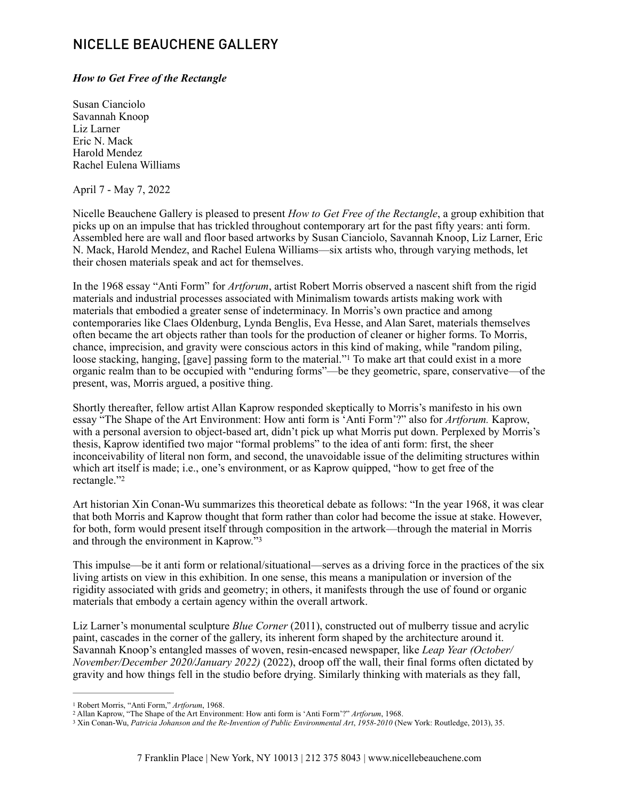## NICELLE BEAUCHENE GALLERY

## *How to Get Free of the Rectangle*

Susan Cianciolo Savannah Knoop Liz Larner Eric N. Mack Harold Mendez Rachel Eulena Williams

April 7 - May 7, 2022

Nicelle Beauchene Gallery is pleased to present *How to Get Free of the Rectangle*, a group exhibition that picks up on an impulse that has trickled throughout contemporary art for the past fifty years: anti form. Assembled here are wall and floor based artworks by Susan Cianciolo, Savannah Knoop, Liz Larner, Eric N. Mack, Harold Mendez, and Rachel Eulena Williams—six artists who, through varying methods, let their chosen materials speak and act for themselves.

In the 1968 essay "Anti Form" for *Artforum*, artist Robert Morris observed a nascent shift from the rigid materials and industrial processes associated with Minimalism towards artists making work with materials that embodied a greater sense of indeterminacy. In Morris's own practice and among contemporaries like Claes Oldenburg, Lynda Benglis, Eva Hesse, and Alan Saret, materials themselves often became the art objects rather than tools for the production of cleaner or higher forms. To Morris, chance, imprecision, and gravity were conscious actors in this kind of making, while "random piling, loosestacking, hanging, [gave] passing form to the material."<sup>[1](#page-0-0)</sup> To make art that could exist in a more organic realm than to be occupied with "enduring forms"—be they geometric, spare, conservative—of the present, was, Morris argued, a positive thing.

<span id="page-0-3"></span>Shortly thereafter, fellow artist Allan Kaprow responded skeptically to Morris's manifesto in his own essay "The Shape of the Art Environment: How anti form is 'Anti Form'?" also for *Artforum.* Kaprow, with a personal aversion to object-based art, didn't pick up what Morris put down. Perplexed by Morris's thesis, Kaprow identified two major "formal problems" to the idea of anti form: first, the sheer inconceivability of literal non form, and second, the unavoidable issue of the delimiting structures within which art itself is made; i.e., one's environment, or as Kaprow quipped, "how to get free of the rectangle."[2](#page-0-1)

<span id="page-0-4"></span>Art historian Xin Conan-Wu summarizes this theoretical debate as follows: "In the year 1968, it was clear that both Morris and Kaprow thought that form rather than color had become the issue at stake. However, for both, form would present itself through composition in the artwork—through the material in Morris and through the environment in Kaprow."[3](#page-0-2)

<span id="page-0-5"></span>This impulse—be it anti form or relational/situational—serves as a driving force in the practices of the six living artists on view in this exhibition. In one sense, this means a manipulation or inversion of the rigidity associated with grids and geometry; in others, it manifests through the use of found or organic materials that embody a certain agency within the overall artwork.

Liz Larner's monumental sculpture *Blue Corner* (2011), constructed out of mulberry tissue and acrylic paint, cascades in the corner of the gallery, its inherent form shaped by the architecture around it. Savannah Knoop's entangled masses of woven, resin-encased newspaper, like *Leap Year (October/ November/December 2020/January 2022)* (2022), droop off the wall, their final forms often dictated by gravity and how things fell in the studio before drying. Similarly thinking with materials as they fall,

<span id="page-0-0"></span><sup>&</sup>lt;sup>[1](#page-0-3)</sup> Robert Morris, "Anti Form," Artforum, 1968.

<span id="page-0-1"></span><sup>&</sup>lt;sup>[2](#page-0-4)</sup> Allan Kaprow, "The Shape of the Art Environment: How anti form is 'Anti Form'?" *Artforum*, 1968.

<span id="page-0-2"></span><sup>&</sup>lt;sup>[3](#page-0-5)</sup> Xin Conan-Wu, *Patricia Johanson and the Re-Invention of Public Environmental Art*, *1958-2010* (New York: Routledge, 2013), 35.